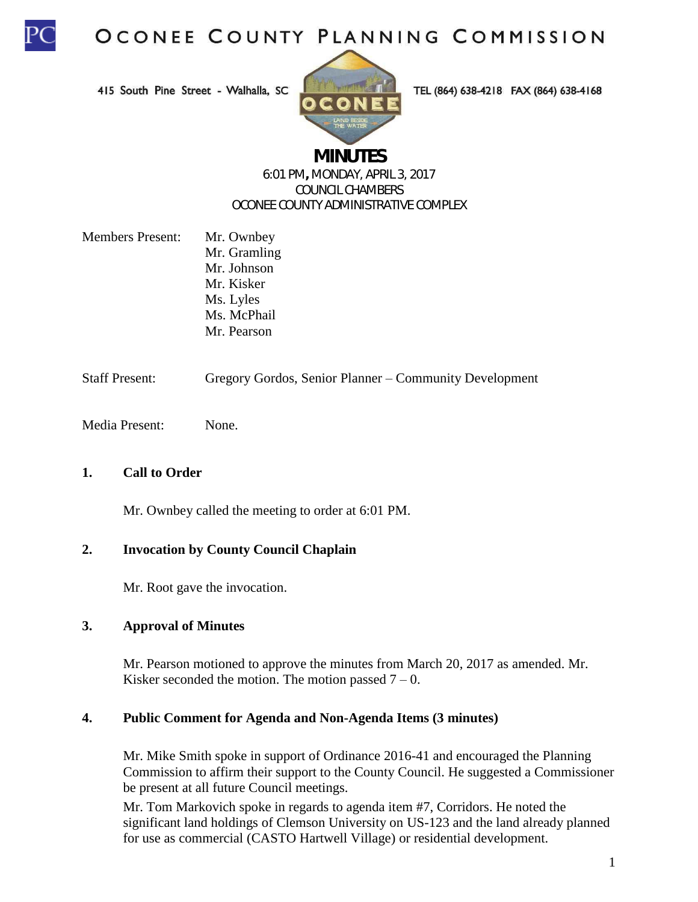

415 South Pine Street - Walhalla, SC



TEL (864) 638-4218 FAX (864) 638-4168

# **MINUTES**

#### 6:01 PM**,** MONDAY, APRIL 3, 2017 COUNCIL CHAMBERS OCONEE COUNTY ADMINISTRATIVE COMPLEX

| <b>Members Present:</b> | Mr. Ownbey   |
|-------------------------|--------------|
|                         | Mr. Gramling |
|                         | Mr. Johnson  |
|                         | Mr. Kisker   |
|                         | Ms. Lyles    |
|                         | Ms. McPhail  |
|                         | Mr. Pearson  |
|                         |              |

Staff Present: Gregory Gordos, Senior Planner – Community Development

Media Present: None.

### **1. Call to Order**

Mr. Ownbey called the meeting to order at 6:01 PM.

### **2. Invocation by County Council Chaplain**

Mr. Root gave the invocation.

### **3. Approval of Minutes**

Mr. Pearson motioned to approve the minutes from March 20, 2017 as amended. Mr. Kisker seconded the motion. The motion passed  $7 - 0$ .

#### **4. Public Comment for Agenda and Non-Agenda Items (3 minutes)**

Mr. Mike Smith spoke in support of Ordinance 2016-41 and encouraged the Planning Commission to affirm their support to the County Council. He suggested a Commissioner be present at all future Council meetings.

Mr. Tom Markovich spoke in regards to agenda item #7, Corridors. He noted the significant land holdings of Clemson University on US-123 and the land already planned for use as commercial (CASTO Hartwell Village) or residential development.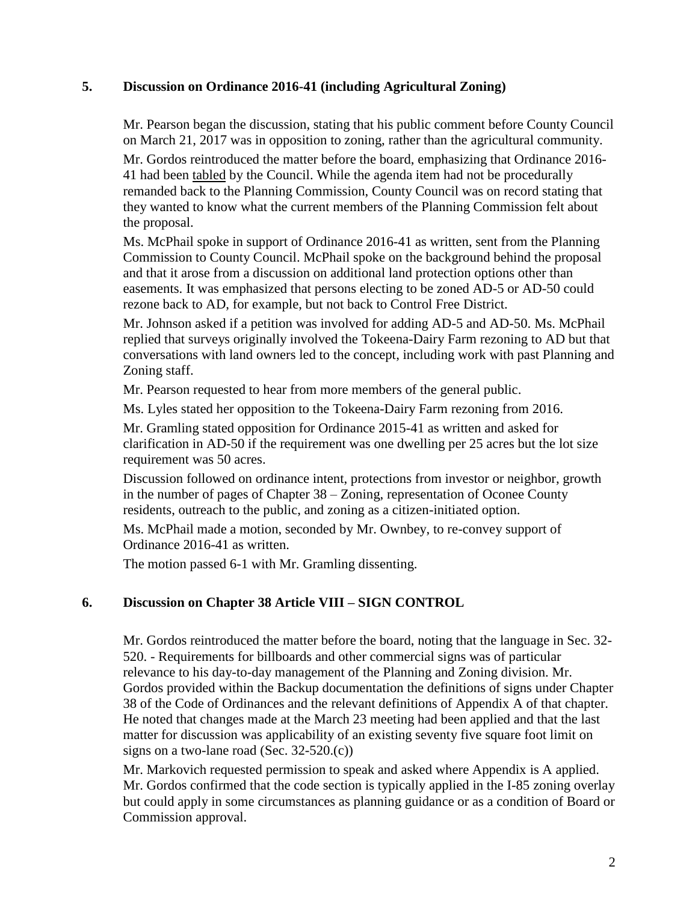## **5. Discussion on Ordinance 2016-41 (including Agricultural Zoning)**

Mr. Pearson began the discussion, stating that his public comment before County Council on March 21, 2017 was in opposition to zoning, rather than the agricultural community. Mr. Gordos reintroduced the matter before the board, emphasizing that Ordinance 2016- 41 had been tabled by the Council. While the agenda item had not be procedurally remanded back to the Planning Commission, County Council was on record stating that they wanted to know what the current members of the Planning Commission felt about the proposal.

Ms. McPhail spoke in support of Ordinance 2016-41 as written, sent from the Planning Commission to County Council. McPhail spoke on the background behind the proposal and that it arose from a discussion on additional land protection options other than easements. It was emphasized that persons electing to be zoned AD-5 or AD-50 could rezone back to AD, for example, but not back to Control Free District.

Mr. Johnson asked if a petition was involved for adding AD-5 and AD-50. Ms. McPhail replied that surveys originally involved the Tokeena-Dairy Farm rezoning to AD but that conversations with land owners led to the concept, including work with past Planning and Zoning staff.

Mr. Pearson requested to hear from more members of the general public.

Ms. Lyles stated her opposition to the Tokeena-Dairy Farm rezoning from 2016.

Mr. Gramling stated opposition for Ordinance 2015-41 as written and asked for clarification in AD-50 if the requirement was one dwelling per 25 acres but the lot size requirement was 50 acres.

Discussion followed on ordinance intent, protections from investor or neighbor, growth in the number of pages of Chapter 38 – Zoning, representation of Oconee County residents, outreach to the public, and zoning as a citizen-initiated option.

Ms. McPhail made a motion, seconded by Mr. Ownbey, to re-convey support of Ordinance 2016-41 as written.

The motion passed 6-1 with Mr. Gramling dissenting.

## **6. Discussion on Chapter 38 Article VIII – SIGN CONTROL**

Mr. Gordos reintroduced the matter before the board, noting that the language in Sec. 32- 520. - Requirements for billboards and other commercial signs was of particular relevance to his day-to-day management of the Planning and Zoning division. Mr. Gordos provided within the Backup documentation the definitions of signs under Chapter 38 of the Code of Ordinances and the relevant definitions of Appendix A of that chapter. He noted that changes made at the March 23 meeting had been applied and that the last matter for discussion was applicability of an existing seventy five square foot limit on signs on a two-lane road (Sec. 32-520.(c))

Mr. Markovich requested permission to speak and asked where Appendix is A applied. Mr. Gordos confirmed that the code section is typically applied in the I-85 zoning overlay but could apply in some circumstances as planning guidance or as a condition of Board or Commission approval.